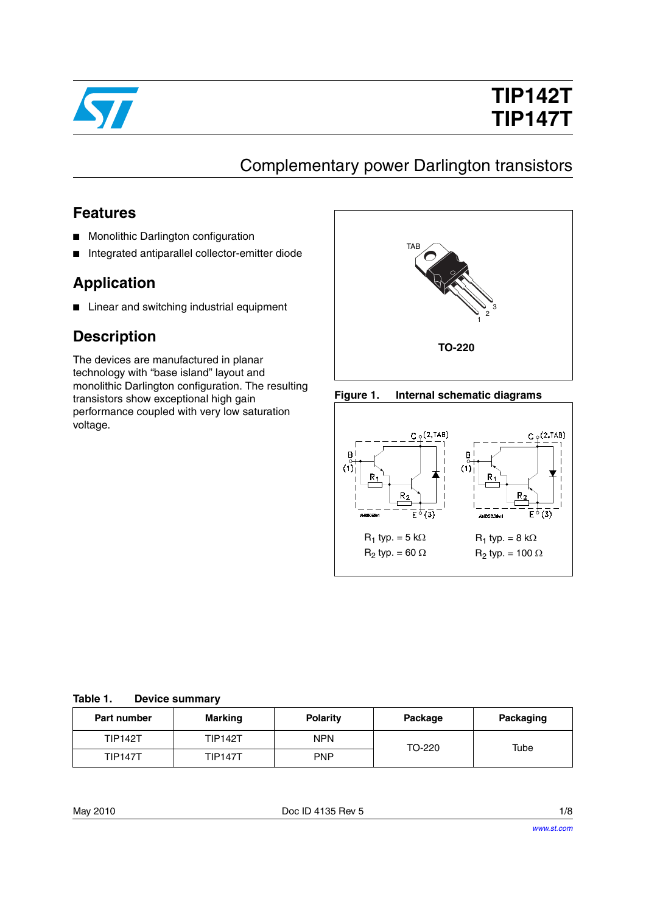

# **TIP142T TIP147T**

## Complementary power Darlington transistors

### **Features**

- Monolithic Darlington configuration
- Integrated antiparallel collector-emitter diode

### **Application**

■ Linear and switching industrial equipment

### **Description**

The devices are manufactured in planar technology with "base island" layout and monolithic Darlington configuration. The resulting transistors show exceptional high gain performance coupled with very low saturation voltage.







#### **Table 1. Device summary**

| <b>Part number</b> | Marking        | <b>Polarity</b><br>Package |        | Packaging |
|--------------------|----------------|----------------------------|--------|-----------|
| <b>TIP142T</b>     | <b>TIP142T</b> | <b>NPN</b>                 | TO-220 | Tube      |
| <b>TIP147T</b>     | <b>TIP147T</b> | PNP                        |        |           |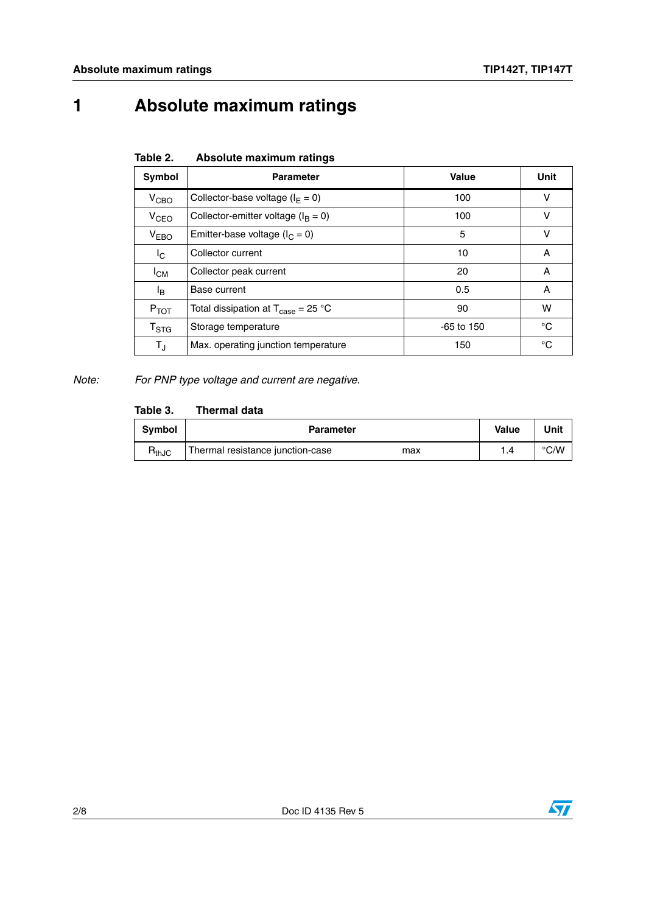## **1 Absolute maximum ratings**

| Table 2. | Absolute maximum ratings |  |
|----------|--------------------------|--|
|          |                          |  |

| Symbol                    | <b>Parameter</b>                                                     | Value        | <b>Unit</b> |
|---------------------------|----------------------------------------------------------------------|--------------|-------------|
| V <sub>CBO</sub>          | Collector-base voltage ( $I_F = 0$ )                                 | 100          | v           |
| V <sub>CEO</sub>          | Collector-emitter voltage ( $I_B = 0$ )                              | 100          | v           |
| V <sub>EBO</sub>          | Emitter-base voltage ( $I_C = 0$ )                                   | 5            | v           |
| $I_{\rm C}$               | Collector current                                                    | 10           | A           |
| $I_{CM}$                  | Collector peak current                                               | 20           | A           |
| l <sub>B</sub>            | Base current                                                         | 0.5          | A           |
| $P_{TOT}$                 | Total dissipation at $T_{\text{case}} = 25 \text{ }^{\circ}\text{C}$ | 90           | w           |
| $\mathsf{T}_{\text{STG}}$ | Storage temperature                                                  | $-65$ to 150 | °C          |
| $T_{\rm J}$               | Max. operating junction temperature                                  | 150          | °C          |

*Note: For PNP type voltage and current are negative.*

#### **Table 3. Thermal data**

| Symbol     | <b>Parameter</b>                        | Value | Unit |
|------------|-----------------------------------------|-------|------|
| $R_{thJC}$ | Thermal resistance junction-case<br>max |       | °C/W |

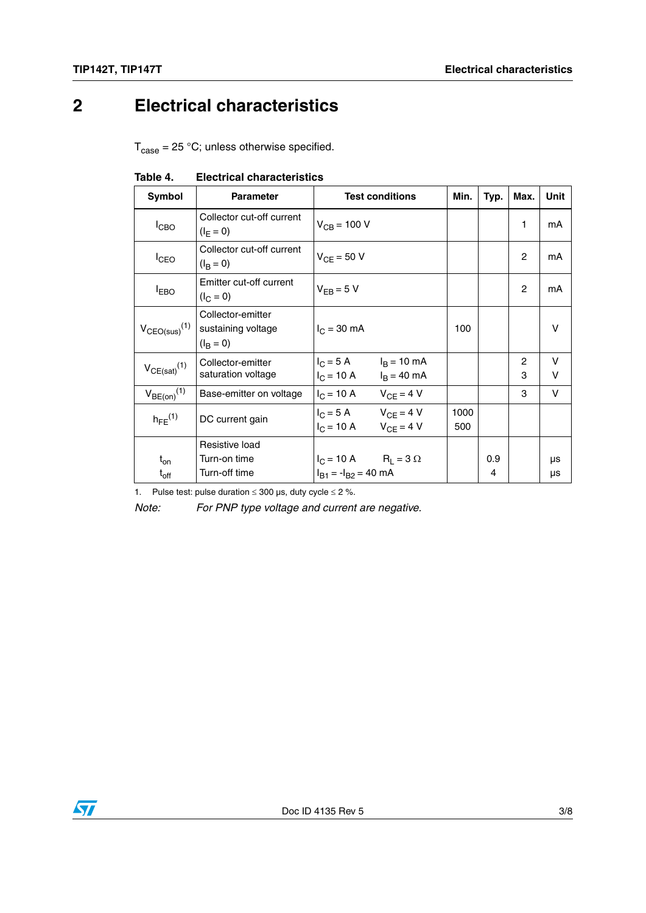## **2 Electrical characteristics**

 $T_{\text{case}} = 25 \text{ °C}$ ; unless otherwise specified.

| Symbol                        | <b>Parameter</b>                                             | <b>Test conditions</b>                                                    | Min.        | Typ. | Max.                | Unit        |
|-------------------------------|--------------------------------------------------------------|---------------------------------------------------------------------------|-------------|------|---------------------|-------------|
| I <sub>CBO</sub>              | Collector cut-off current<br>$(I_F = 0)$                     | $V_{CB} = 100 V$                                                          |             |      | 1                   | mA          |
| <sup>I</sup> CEO              | Collector cut-off current<br>$(I_B = 0)$                     | $V_{CF}$ = 50 V                                                           |             |      | $\overline{c}$      | mA          |
| <b>IEBO</b>                   | Emitter cut-off current<br>$(I_C = 0)$                       | $V_{FR} = 5 V$                                                            |             |      | $\overline{c}$      | mA          |
| $V_{CEO(sus)}$ <sup>(1)</sup> | Collector-emitter<br>sustaining voltage<br>$(I_{\rm B} = 0)$ | $I_C = 30$ mA                                                             | 100         |      |                     | V           |
| $V_{CE(sat)}(1)$              | Collector-emitter<br>saturation voltage                      | $I_C = 5 A$ $I_B = 10 mA$<br>$I_C = 10 \text{ A}$ $I_B = 40 \text{ mA}$   |             |      | $\overline{2}$<br>3 | v<br>$\vee$ |
| $V_{BE(on)}$ <sup>(1)</sup>   | Base-emitter on voltage                                      | $I_C = 10 \text{ A}$ $V_{CE} = 4 \text{ V}$                               |             |      | 3                   | V           |
| $h_{FE}$ <sup>(1)</sup>       | DC current gain                                              | $I_C = 5 A$ $V_{CE} = 4 V$<br>$I_C = 10 \text{ A}$ $V_{CF} = 4 \text{ V}$ | 1000<br>500 |      |                     |             |
|                               | Resistive load                                               |                                                                           |             |      |                     |             |
| $t_{on}$                      | Turn-on time                                                 | $I_C = 10 A$ $R_L = 3 \Omega$                                             |             | 0.9  |                     | μs          |
| $t_{\rm off}$                 | Turn-off time                                                | $I_{B1} = -I_{B2} = 40$ mA                                                |             | 4    |                     | μs          |

#### **Table 4. Electrical characteristics**

1. Pulse test: pulse duration  $\leq 300$  µs, duty cycle  $\leq 2$  %.

*Note: For PNP type voltage and current are negative.*

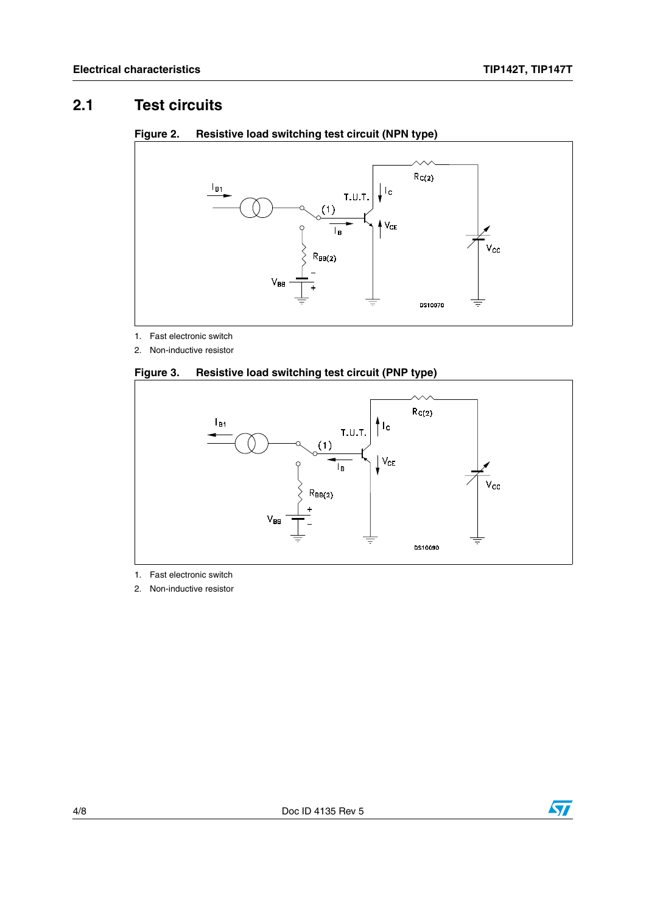### **2.1 Test circuits**



#### **Figure 2. Resistive load switching test circuit (NPN type)**

1. Fast electronic switch

2. Non-inductive resistor





- 1. Fast electronic switch
- 2. Non-inductive resistor

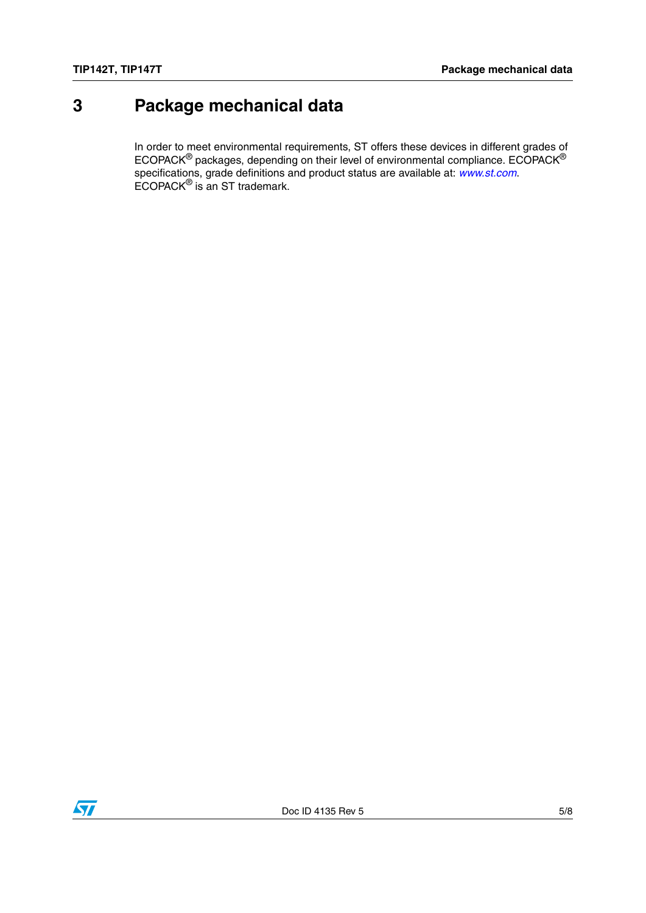## **3 Package mechanical data**

In order to meet environmental requirements, ST offers these devices in different grades of ECOPACK $^{\circledR}$  packages, depending on their level of environmental compliance. ECOPACK $^{\circledR}$ specifications, grade definitions and product status are available at: *[www.st.com](http://www.st.com)*. ECOPACK® is an ST trademark.

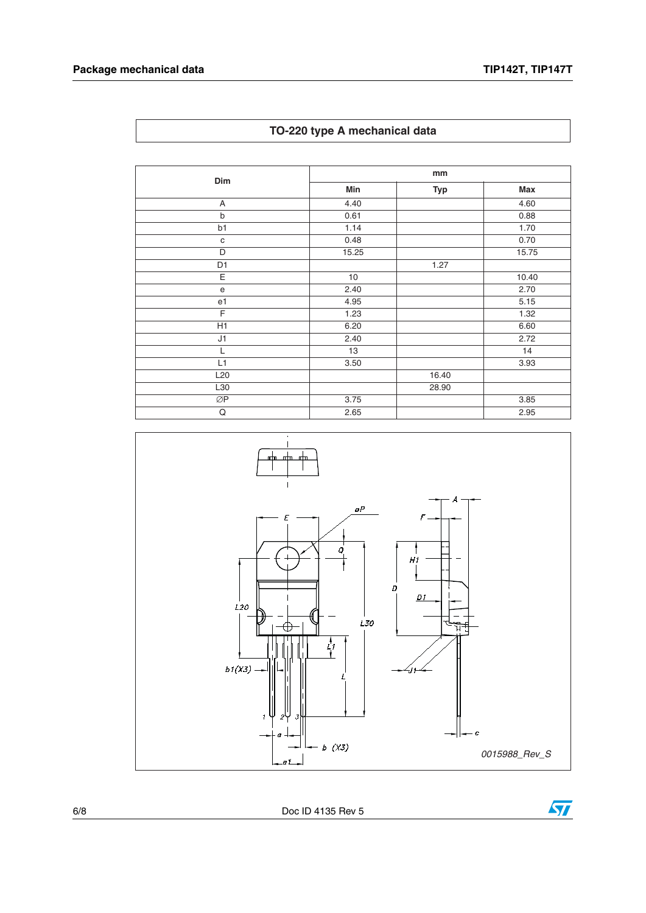**TO-220 type A mechanical data**

| Dim                               | mm    |            |       |
|-----------------------------------|-------|------------|-------|
|                                   | Min   | <b>Typ</b> | Max   |
| A                                 | 4.40  |            | 4.60  |
| b                                 | 0.61  |            | 0.88  |
| b1                                | 1.14  |            | 1.70  |
| $\mathbf C$                       | 0.48  |            | 0.70  |
| D                                 | 15.25 |            | 15.75 |
| D <sub>1</sub>                    |       | 1.27       |       |
| E                                 | 10    |            | 10.40 |
| $\mathsf{e}% _{t}\left( t\right)$ | 2.40  |            | 2.70  |
| e1                                | 4.95  |            | 5.15  |
| E                                 | 1.23  |            | 1.32  |
| H1                                | 6.20  |            | 6.60  |
| J1                                | 2.40  |            | 2.72  |
| L                                 | 13    |            | 14    |
| L1                                | 3.50  |            | 3.93  |
| L <sub>20</sub>                   |       | 16.40      |       |
| L30                               |       | 28.90      |       |
| ØP                                | 3.75  |            | 3.85  |
| Q                                 | 2.65  |            | 2.95  |



6/8 Doc ID 4135 Rev 5

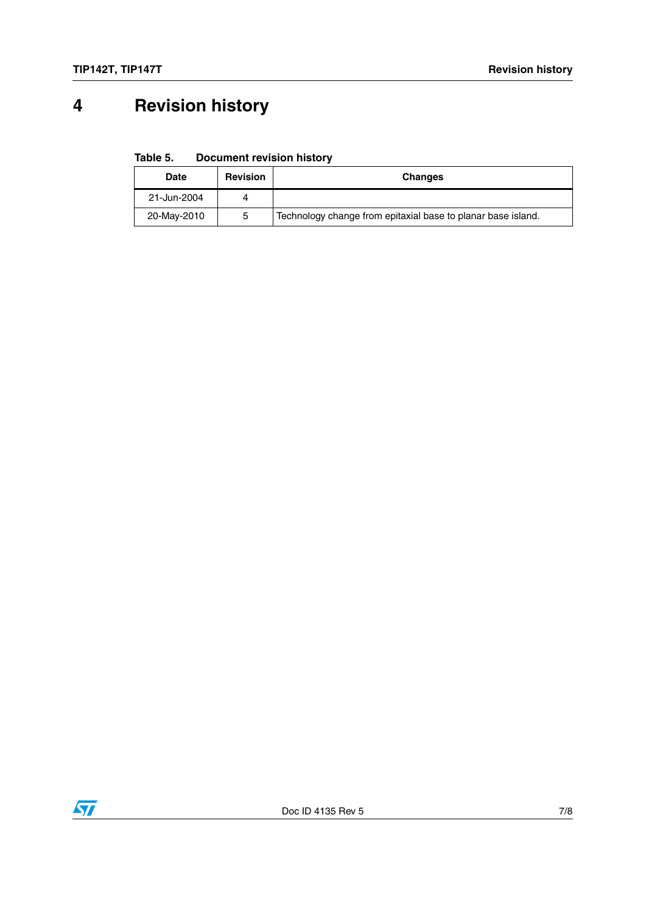# **4 Revision history**

**Table 5. Document revision history**

| <b>Date</b> | <b>Revision</b> | <b>Changes</b>                                               |
|-------------|-----------------|--------------------------------------------------------------|
| 21-Jun-2004 |                 |                                                              |
| 20-May-2010 | 5               | Technology change from epitaxial base to planar base island. |